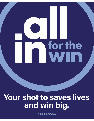Your shot to saves lives and win big.

for the

allin.illinois.gov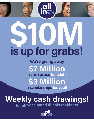# is up for grabs!

We're giving away **S7 Million** in cash prizes for adults \$3 Million in scholarships for youth

# **Weekly cash drawings!**

for all vaccinated Illinois residents

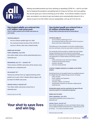

Getting vaccinated protects you from catching or spreading COVID-19 — and it's our best shot at beating this pandemic and getting back to living our full lives. And now, getting the vaccine gives you a shot at winning up to \$1 million. As an Illinois resident, if you've been vaccinated or are about to get vaccinated, you're automatically entered in for a chance at part of our \$10 million vaccine sweepstakes. Let's go all in for the win.

#### **Vaccinated** *adults* **are entered into a \$7 million cash prize pool.**

**Three \$1 million jackpots and 40 \$100k cash prizes are up for grabs.** 

#### **YOU'RE ELIGIBLE IF:**

- You're an Illinois resident age 18 or older
- You received at least one dose of the COVID-19 vaccine in Illinois, other than a federal facility

#### **WHEN CAN YOU WIN?**

#### **FIRST DRAWING: JULY 8TH**

One million-dollar winner will be picked Monday from a statewide pool.

#### **BEGINNING JULY 12TH - AUGUST 16TH**

Three winners of \$100K cash prizes will be chosen every Monday from a statewide pool.

#### **ON AUGUST 12TH**

Twenty-two winners from our regional drawing will be picked, two in each of the 11 Restore Illinois regions will be drawn for \$100K cash prizes.

#### **GRAND FINALE: AUGUST 26TH**

Two million-dollar cash prizes chosen from a statewide pool.

*Find out more in our FAQ*

## **Your shot to save lives and win big.**

#### **Vaccinated** *youth* **are entered into a \$3 million scholarship pool.**

**Twenty \$150k scholarship awards are being offered.**

#### **YOU'RE ELIGIBLE IF:**

- You're an Illinois resident age 12 to 17
- You received at least one dose of the COVID-19 vaccine in Illinois, other than a federal facility

This \$150K prize is the equivalent of a full ride, including tuition and room and board, at any four-year public university in Illinois.

The scholarship will be provided as a Bright Start 529 College Savings scholarship and may be used at any educational institution that participates in the US Department of Education's Free Application for Federal Student Aid (FAFSA) system, including:

- public and private 4-year and 2-year colleges
- vocational and technical schools
- schools in all states
- and some schools abroad

#### **A full list of eligible institutions is available on the FAFSA website.**

Scholarship funds can be applied toward any qualified expenses for a Bright Start 529 College Savings account, including:

- tuition and fees
- books, supplies, and equipment
- room and board
- computer, software, and internet
- and expenses necessary for education-related special needs services.

**Scholarship awards must be used before the age of 26 and cannot be used for K-12 educational expenses.**

#### **WHEN CAN YOU WIN?**

#### **FIRST DRAWING, JULY 8TH**

Three \$150K scholarship winners drawn from a statewide pool.

#### **GRAND FINALE: AUGUST 26TH**

Eleven \$150K scholarships, one from each Restore Illinois region, and six additional \$150K scholarships from a statewide pool, will be chosen — for a total of seventeen awards.

*Find out more in our FAQ*

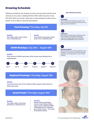### Drawing Schedule

Getting vaccinated by July 1st gets you entry into every draw and the most chances to win a prize, including the first million-dollar top prize on July 8th. We'll check our records 7 days prior to each drawing to make sure our system is up-to-date on vaccines administered.

#### First Drawing **| Thursday, July 8th**

**Adults One million-dollar winner drawn from a statewide pool.** 

**Youth Three \$150K scholarship winners drawn from a statewide pool.** 

#### \$100K Mondays **| July 12th — August 16th**

#### **Adults**

**Three winners of \$100K cash prizes will be chosen every Monday from a statewide pool.** 



#### Regional Drawings **| Thursday, August 12th**

#### **Adults**

**Two winners from each of the 11 Restore Illinois regions will be drawn for \$100K cash prizes.**

#### Grand Finale **| Thursday, August 16th**

#### **Adults**

**Two million-dollar cash prizes picked from a statewide pool.**

#### **Youths**

**Eleven \$150K scholarships, one from each Restore Illinois region, and six additional \$150K scholarships from a statewide pool, will be chosen — for a total of seventeen awards.**

#### Safe, effective protection



#### Prevention

The most important benefit vaccination will offer is that the vaccine helps prevent you from getting sick with COVID-19.



#### Protection

Vaccines go through rigorous testing to prove their protection, and all three authorized vaccines are highly effective at preventing death and hospitalizations from COVID-19.



#### End the pandemic

Vaccines are how we end this pandemic. Once enough of us have been vaccinated and build immunity, we can get back to our pre-COVID routines.



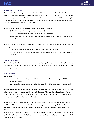# **FAQ**

#### **What is All In For The Win?**

To incentivize Illinoisans to get vaccinated, the State of Illinois is introducing 'All In For The Win' to offer vaccinated residents \$10 million in prizes, with awards ranging from \$100,000 to \$1 million. This vaccine incentive program will award \$7 million in cash prizes to residents 18 and older and \$3 million in Bright Start 529 College Savings scholarship awards to residents ages 12 to 17 beginning on Thursday, July 8th, 2021, and running until Thursday, August 26th, 2021.

The state will conduct a series of drawings for 43 cash prizes, including:

- 3 \$1 million statewide cash prizes for vaccinated 18+ residents
- 18 \$100,000 statewide cash prizes for vaccinated 18+ residents
- 22 \$100,000 regional cash prizes for vaccinated 18+ residents, two in each of the 11 Restore Illinois Regions

The State will conduct a series of drawings for 20 Bright Start 529 College Savings scholarship awards, including:

- 9 \$150k statewide scholarship prizes for vaccinated children ages 12-17
- 11 \$150k regional scholarship prizes for vaccinated children ages 12-17, one in each Restore Illinois Region

#### **How do I participate?**

Entry is simple: if you're an Illinois resident who meets the eligibility requirements (detailed below), you are automatically entered. There are no sign ups, no forms, no waiting in line. You did your part – so this is our way of saying thank you.

#### **Who's eligible?**

You're eligible if:

- You're an Illinois resident age 18 or older for cash prizes or between the ages of 12-17 for scholarship awards
- You received at least one dose of the COVID-19 vaccine in Illinois, other than a federal facility

The Federal government cannot provide the Illinois Department of Public Health with a list of Illinoisans who were vaccinated at Federal facilities (e.g. U.S. Bureau of Prisons and U.S. Department of Veterans Affairs), so these individuals are not eligible for this promotion. It is not possible for individuals to submit their records to the Illinois Department of Health.

The vaccination clinics operated by or supported by the Federal Emergency Management Agency (FEMA) are NOT considered Federal facilities. FEMA-supported locations (e.g. the United Center) are supporting state and local vaccination efforts. Anyone vaccinated at these sites is eligible for the drawings.

Employees of the Governor's Office, Lieutenant Governor's Office, Illinois Lottery, designated employees of the Illinois Department of Public Health, and employees of designated state vendors, are not eligible. See official rules for details.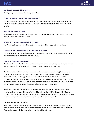# **FAQ**



#### **Do I have to be a U.S. citizen to win?**

No. Eligibility does not depend on immigration status.

#### **Is there a deadline to participate in the drawings?**

Getting vaccinated before July 1st gets you entry into every draw and the most chances to win a prize, including the first million-dollar top prize on July 8th. We'll continue to check our records before each drawing.

#### **How will I be notified if I win?**

Winners will be notified by the Illinois Department of Public Health by phone and email. IDPH will make multiple attempts to reach each winner.

#### **Will the state be contacting my kids if they win?**

No. The Illinois Department of Public Health will contact the children's parents or guardians.

#### **Does the Illinois Lottery have access to my vaccine records?**

No, the Illinois Lottery does not have access to your vaccine records. Those records are confidentially maintained by Illinois Department of Public Health.

#### **How does the draw process work?**

The Illinois Department of Public Health will assign a number to each eligible person for each draw and will report the total number of eligible Illinoisans for each draw to the Illinois Lottery.

The Illinois Lottery will use a random number generator to draw winning number(s) for each drawing from within the range provided by the Illinois Department of Public Health. The Illinois Lottery will provide the winning number(s) back to IDPH who will match it with an individual. The Illinois Department of Public Health will then make the initial contact with winners. The Illinois Lottery will only receive the winners' names and contact information from the Illinois Department of Public Health after the winners consent to release of their personal information to the Illinois Lottery.

The Illinois Lottery will then guide the winners through its standard prize claiming process, which requires each winner to provide a proof of Social Security Number (SSN) or Taxpayer Identification Number (TIN), a valid photo ID, and a signed Illinois Lottery claim form. Prizes can be claimed by mail or in person by appointment at one of five Illinois Lottery claim centers statewide.

#### **Can I remain anonymous if I win?**

The winners of this promotion can choose to remain anonymous. For winners from larger towns with populations of 20,000 or more, the location of the winners' hometowns will be published. For winners from smaller towns, only the winners' home counties will be published.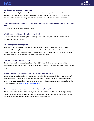# **FAQ**

#### **Do I have to pay taxes on my winnings?**

Taxes will automatically be deducted from the winnings. Outstanding obligations to state and child support arrears will be deducted from the prizes if winners owe any such debts. The Illinois Lottery encourages the winners of all large prizes to consider speaking with a qualified tax professional.

#### **If I had more than one COVID-19 shot, do I have more than one chance to win? Can I win more than once?**

No. Each resident is only eligible to win once.

#### **What if I don't want to participate in the drawings?**

Winners who do not wish to accept the prize may decline when they are contacted by the Illinois Department of Public Health.

#### **How is this promotion being funded?**

The prize money will be paid from federal grants received by Illinois to help combat the COVID-19 pandemic. The money has already been appropriated to the Illinois Department of Public Health and the Illinois Lottery for that purpose, and this promotion will not reduce the amount of the Illinois Lottery's contributions to the Common School Fund or other state programs.

#### **How will the scholarship be awarded?**

The scholarship will be provided as a Bright Start 529 College Savings scholarship and will be administered by the Illinois State Treasurer's Office, the administrator of the Bright Start College Savings program.

#### **At what type of educational institution may the scholarship be used?**

The scholarship may be used at any educational institution that participates in the US Department of Education's Free Application for Federal Student Aid (FAFSA) system, including public and private 4 year, 2-year, vocational, and technical schools; schools in all states; and some schools abroad. A full list of eligible institutions is [available on the FAFSA website.](https://fafsa.ed.gov/spa/fsc/%22%20%5Cl%20%22/SEARCH?locale=en_US)

#### **For what types of college expenses may the scholarship be used?**

The scholarship can be applied toward any qualified expenses for a Bright Start 529 College Savings account, including tuition, fees, books, supplies, equipment, room and board, computer, internet, and expenses necessary for an education-related special needs services.